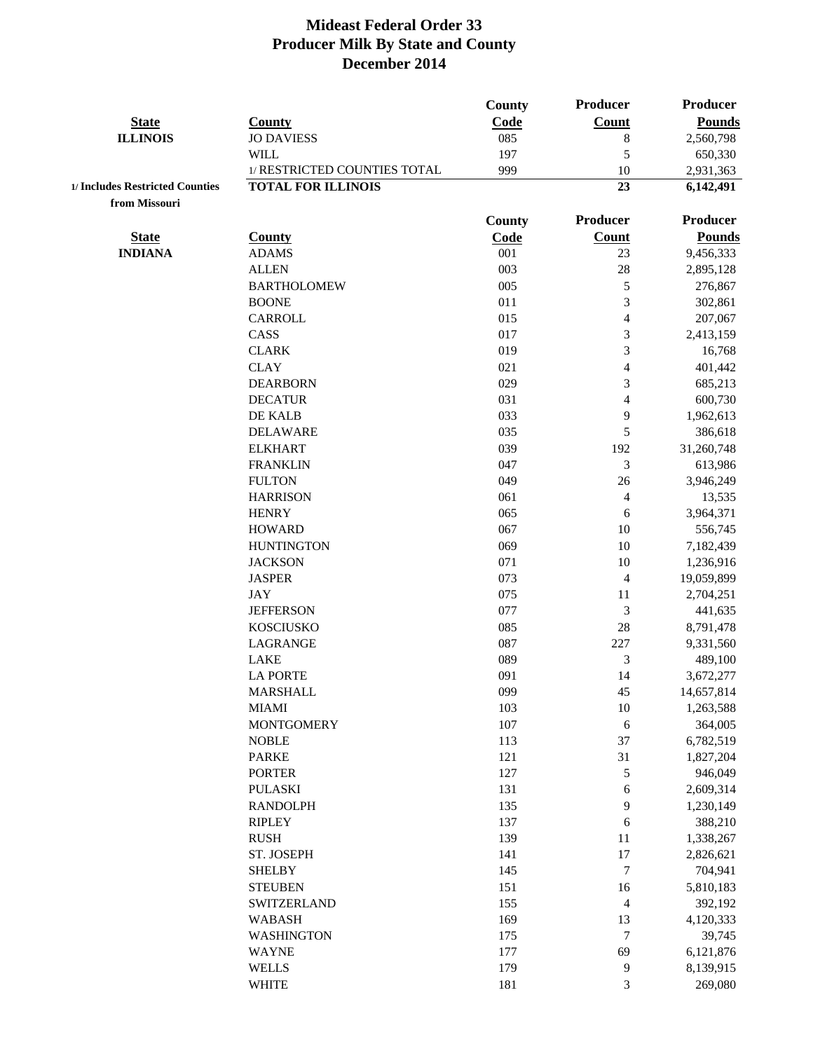|                                 |                                     | County        | Producer                 | <b>Producer</b>         |
|---------------------------------|-------------------------------------|---------------|--------------------------|-------------------------|
| <b>State</b>                    | <b>County</b>                       | Code          | <b>Count</b>             | <b>Pounds</b>           |
| <b>ILLINOIS</b>                 | <b>JO DAVIESS</b>                   | 085           | $8\,$                    | 2,560,798               |
|                                 | <b>WILL</b>                         | 197           | 5                        | 650,330                 |
|                                 | 1/ RESTRICTED COUNTIES TOTAL        | 999           | 10                       | 2,931,363               |
| 1/ Includes Restricted Counties | <b>TOTAL FOR ILLINOIS</b>           |               | 23                       | 6,142,491               |
| from Missouri                   |                                     |               |                          |                         |
|                                 |                                     | <b>County</b> | Producer                 | <b>Producer</b>         |
| <b>State</b>                    | <b>County</b>                       | Code          | <b>Count</b>             | <b>Pounds</b>           |
| <b>INDIANA</b>                  | <b>ADAMS</b>                        | 001           | 23                       | 9,456,333               |
|                                 | <b>ALLEN</b>                        | 003           | 28                       | 2,895,128               |
|                                 | <b>BARTHOLOMEW</b>                  | 005           | $\mathfrak{S}$           | 276,867                 |
|                                 | <b>BOONE</b>                        | 011           | 3                        | 302,861                 |
|                                 | <b>CARROLL</b>                      | 015           | $\overline{4}$           | 207,067                 |
|                                 | CASS                                | 017           | 3                        | 2,413,159               |
|                                 | <b>CLARK</b>                        | 019           | 3                        | 16,768                  |
|                                 | <b>CLAY</b>                         | 021           | $\overline{\mathcal{A}}$ | 401,442                 |
|                                 | <b>DEARBORN</b>                     | 029           | 3                        | 685,213                 |
|                                 | <b>DECATUR</b>                      | 031           | $\overline{\mathcal{L}}$ | 600,730                 |
|                                 | DE KALB                             | 033           | 9                        | 1,962,613               |
|                                 | <b>DELAWARE</b>                     | 035           | 5                        | 386,618                 |
|                                 | <b>ELKHART</b>                      | 039           | 192                      | 31,260,748              |
|                                 | <b>FRANKLIN</b>                     | 047           | 3                        | 613,986                 |
|                                 | <b>FULTON</b>                       | 049           | 26                       | 3,946,249               |
|                                 | <b>HARRISON</b>                     | 061           | $\overline{4}$           | 13,535                  |
|                                 | <b>HENRY</b>                        | 065           | 6                        | 3,964,371               |
|                                 | <b>HOWARD</b>                       | 067           | 10                       | 556,745                 |
|                                 | <b>HUNTINGTON</b><br><b>JACKSON</b> | 069<br>071    | 10<br>10                 | 7,182,439               |
|                                 | <b>JASPER</b>                       | 073           | $\overline{4}$           | 1,236,916<br>19,059,899 |
|                                 | <b>JAY</b>                          | 075           | 11                       | 2,704,251               |
|                                 | <b>JEFFERSON</b>                    | 077           | 3                        | 441,635                 |
|                                 | <b>KOSCIUSKO</b>                    | 085           | $28\,$                   | 8,791,478               |
|                                 | <b>LAGRANGE</b>                     | 087           | 227                      | 9,331,560               |
|                                 | <b>LAKE</b>                         | 089           | $\mathfrak{Z}$           | 489,100                 |
|                                 | <b>LA PORTE</b>                     | 091           | 14                       | 3,672,277               |
|                                 | <b>MARSHALL</b>                     | 099           | 45                       | 14,657,814              |
|                                 | <b>MIAMI</b>                        | 103           | $10\,$                   | 1,263,588               |
|                                 | <b>MONTGOMERY</b>                   | 107           | $\sqrt{6}$               | 364,005                 |
|                                 | <b>NOBLE</b>                        | 113           | 37                       | 6,782,519               |
|                                 | <b>PARKE</b>                        | 121           | 31                       | 1,827,204               |
|                                 | <b>PORTER</b>                       | 127           | 5                        | 946,049                 |
|                                 | <b>PULASKI</b>                      | 131           | $\sqrt{6}$               | 2,609,314               |
|                                 | <b>RANDOLPH</b>                     | 135           | $\mathbf{9}$             | 1,230,149               |
|                                 | <b>RIPLEY</b>                       | 137           | 6                        | 388,210                 |
|                                 | <b>RUSH</b>                         | 139           | 11                       | 1,338,267               |
|                                 | ST. JOSEPH                          | 141           | 17                       | 2,826,621               |
|                                 | <b>SHELBY</b>                       | 145           | $\boldsymbol{7}$         | 704,941                 |
|                                 | <b>STEUBEN</b>                      | 151           | 16                       | 5,810,183               |
|                                 | <b>SWITZERLAND</b>                  | 155           | $\overline{4}$           | 392,192                 |
|                                 | <b>WABASH</b>                       | 169           | 13                       | 4,120,333               |
|                                 | <b>WASHINGTON</b>                   | 175           | $\overline{7}$           | 39,745                  |
|                                 | <b>WAYNE</b>                        | 177           | 69                       | 6,121,876               |
|                                 | <b>WELLS</b>                        | 179           | 9                        | 8,139,915               |
|                                 | <b>WHITE</b>                        | 181           | 3                        | 269,080                 |
|                                 |                                     |               |                          |                         |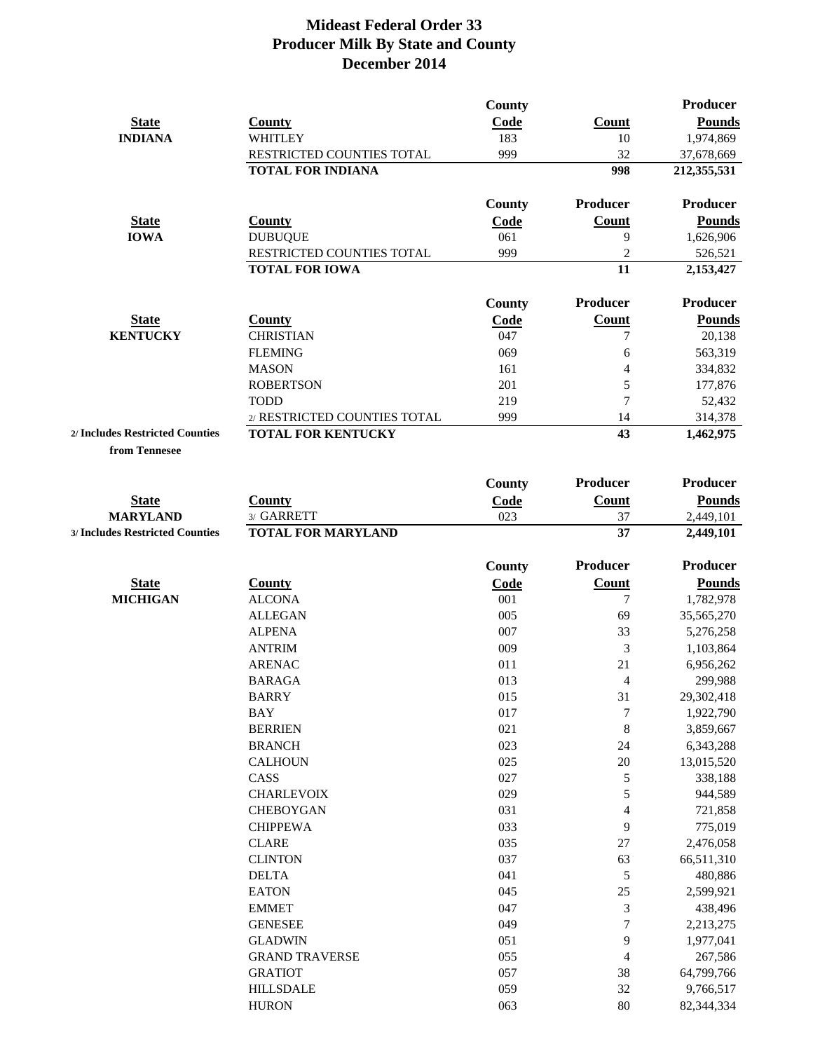|                                 |                              | County      |                 | <b>Producer</b> |
|---------------------------------|------------------------------|-------------|-----------------|-----------------|
| <b>State</b>                    | <b>County</b>                | Code        | Count           | <b>Pounds</b>   |
| <b>INDIANA</b>                  | <b>WHITLEY</b>               | 183         | 10              | 1,974,869       |
|                                 | RESTRICTED COUNTIES TOTAL    | 999         | 32              | 37,678,669      |
|                                 | <b>TOTAL FOR INDIANA</b>     |             | 998             | 212,355,531     |
|                                 |                              | County      | <b>Producer</b> | <b>Producer</b> |
| <b>State</b>                    | <b>County</b>                | <b>Code</b> | Count           | <b>Pounds</b>   |
| <b>IOWA</b>                     | <b>DUBUQUE</b>               | 061         | 9               | 1,626,906       |
|                                 | RESTRICTED COUNTIES TOTAL    | 999         | 2               | 526,521         |
|                                 | <b>TOTAL FOR IOWA</b>        |             | 11              | 2,153,427       |
|                                 |                              | County      | <b>Producer</b> | <b>Producer</b> |
| <b>State</b>                    | County                       | Code        | <b>Count</b>    | <b>Pounds</b>   |
| <b>KENTUCKY</b>                 | <b>CHRISTIAN</b>             | 047         |                 | 20,138          |
|                                 | <b>FLEMING</b>               | 069         | 6               | 563,319         |
|                                 | <b>MASON</b>                 | 161         | 4               | 334,832         |
|                                 | <b>ROBERTSON</b>             | 201         | 5               | 177,876         |
|                                 | <b>TODD</b>                  | 219         | 7               | 52,432          |
|                                 | 2/ RESTRICTED COUNTIES TOTAL | 999         | 14              | 314,378         |
| 2/ Includes Restricted Counties | <b>TOTAL FOR KENTUCKY</b>    |             | 43              | 1,462,975       |
|                                 |                              |             |                 |                 |

**from Tennesee**

|                                 |                           | <b>County</b> | Producer         | <b>Producer</b> |
|---------------------------------|---------------------------|---------------|------------------|-----------------|
| <b>State</b>                    | <b>County</b>             | Code          | <b>Count</b>     | <b>Pounds</b>   |
| <b>MARYLAND</b>                 | 3/ GARRETT                | 023           | 37               | 2,449,101       |
| 3/ Includes Restricted Counties | <b>TOTAL FOR MARYLAND</b> |               | 37               | 2,449,101       |
|                                 |                           | <b>County</b> | Producer         | <b>Producer</b> |
| <b>State</b>                    | <b>County</b>             | Code          | <b>Count</b>     | <b>Pounds</b>   |
| <b>MICHIGAN</b>                 | <b>ALCONA</b>             | 001           | $\tau$           | 1,782,978       |
|                                 | <b>ALLEGAN</b>            | 005           | 69               | 35,565,270      |
|                                 | <b>ALPENA</b>             | 007           | 33               | 5,276,258       |
|                                 | <b>ANTRIM</b>             | 009           | 3                | 1,103,864       |
|                                 | <b>ARENAC</b>             | 011           | 21               | 6,956,262       |
|                                 | <b>BARAGA</b>             | 013           | $\overline{4}$   | 299,988         |
|                                 | <b>BARRY</b>              | 015           | 31               | 29,302,418      |
|                                 | <b>BAY</b>                | 017           | $\boldsymbol{7}$ | 1,922,790       |
|                                 | <b>BERRIEN</b>            | 021           | 8                | 3,859,667       |
|                                 | <b>BRANCH</b>             | 023           | 24               | 6,343,288       |
|                                 | <b>CALHOUN</b>            | 025           | 20               | 13,015,520      |
|                                 | CASS                      | 027           | $\mathfrak{S}$   | 338,188         |
|                                 | <b>CHARLEVOIX</b>         | 029           | 5                | 944,589         |
|                                 | <b>CHEBOYGAN</b>          | 031           | $\overline{4}$   | 721,858         |
|                                 | <b>CHIPPEWA</b>           | 033           | 9                | 775,019         |
|                                 | <b>CLARE</b>              | 035           | 27               | 2,476,058       |
|                                 | <b>CLINTON</b>            | 037           | 63               | 66,511,310      |
|                                 | <b>DELTA</b>              | 041           | 5                | 480,886         |
|                                 | <b>EATON</b>              | 045           | 25               | 2,599,921       |
|                                 | <b>EMMET</b>              | 047           | $\mathfrak{Z}$   | 438,496         |
|                                 | <b>GENESEE</b>            | 049           | $\overline{7}$   | 2,213,275       |
|                                 | <b>GLADWIN</b>            | 051           | 9                | 1,977,041       |
|                                 | <b>GRAND TRAVERSE</b>     | 055           | $\overline{4}$   | 267,586         |
|                                 | <b>GRATIOT</b>            | 057           | 38               | 64,799,766      |
|                                 | <b>HILLSDALE</b>          | 059           | 32               | 9,766,517       |
|                                 | <b>HURON</b>              | 063           | 80               | 82,344,334      |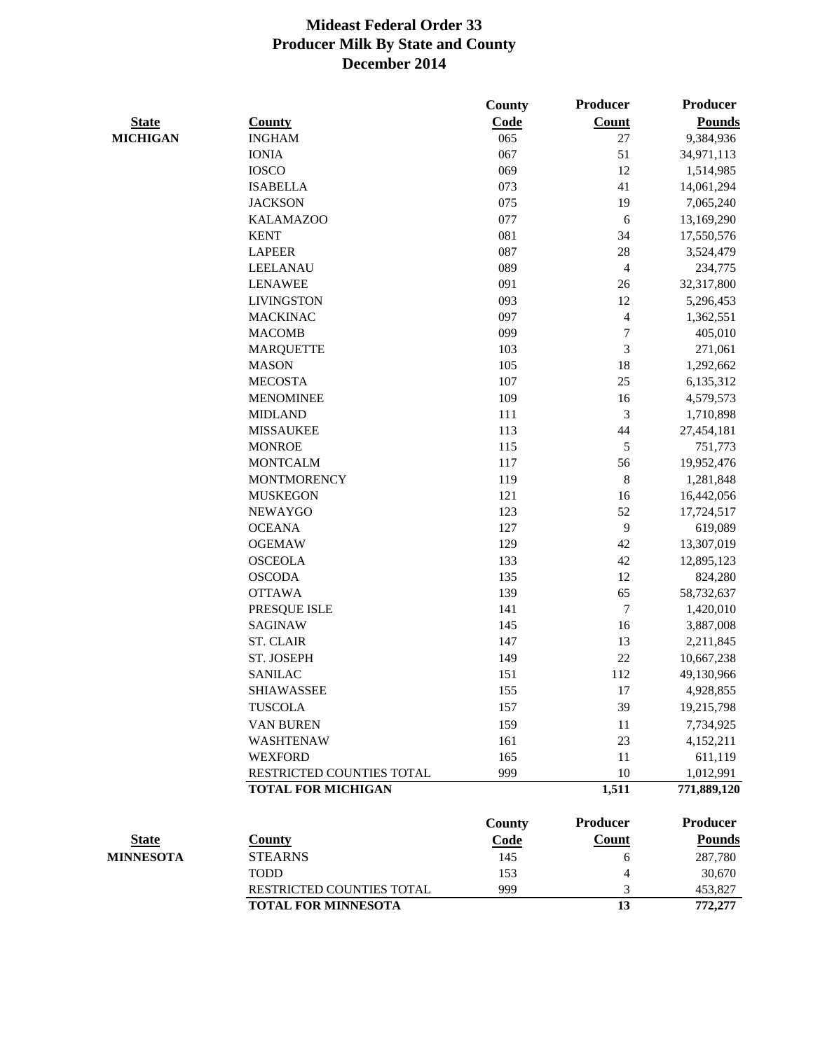|                  |                            | County | <b>Producer</b>  | <b>Producer</b> |
|------------------|----------------------------|--------|------------------|-----------------|
| <b>State</b>     | <b>County</b>              | Code   | <b>Count</b>     | <b>Pounds</b>   |
| <b>MICHIGAN</b>  | <b>INGHAM</b>              | 065    | 27               | 9,384,936       |
|                  | <b>IONIA</b>               | 067    | 51               | 34,971,113      |
|                  | <b>IOSCO</b>               | 069    | 12               | 1,514,985       |
|                  | <b>ISABELLA</b>            | 073    | 41               | 14,061,294      |
|                  | <b>JACKSON</b>             | 075    | 19               | 7,065,240       |
|                  | <b>KALAMAZOO</b>           | 077    | 6                | 13,169,290      |
|                  | <b>KENT</b>                | 081    | 34               | 17,550,576      |
|                  | <b>LAPEER</b>              | 087    | 28               | 3,524,479       |
|                  | <b>LEELANAU</b>            | 089    | $\overline{4}$   | 234,775         |
|                  | <b>LENAWEE</b>             | 091    | 26               | 32,317,800      |
|                  | <b>LIVINGSTON</b>          | 093    | 12               | 5,296,453       |
|                  | <b>MACKINAC</b>            | 097    | 4                | 1,362,551       |
|                  | <b>MACOMB</b>              | 099    | $\boldsymbol{7}$ | 405,010         |
|                  | <b>MARQUETTE</b>           | 103    | 3                | 271,061         |
|                  | <b>MASON</b>               | 105    | 18               | 1,292,662       |
|                  | <b>MECOSTA</b>             | 107    | 25               | 6,135,312       |
|                  | <b>MENOMINEE</b>           | 109    | 16               | 4,579,573       |
|                  | <b>MIDLAND</b>             | 111    | 3                | 1,710,898       |
|                  | <b>MISSAUKEE</b>           | 113    | 44               | 27,454,181      |
|                  | <b>MONROE</b>              | 115    | 5                | 751,773         |
|                  | <b>MONTCALM</b>            | 117    | 56               | 19,952,476      |
|                  | <b>MONTMORENCY</b>         | 119    | $\,8\,$          | 1,281,848       |
|                  | <b>MUSKEGON</b>            | 121    | 16               | 16,442,056      |
|                  | <b>NEWAYGO</b>             | 123    | 52               | 17,724,517      |
|                  | <b>OCEANA</b>              | 127    | 9                | 619,089         |
|                  | <b>OGEMAW</b>              | 129    | 42               | 13,307,019      |
|                  | <b>OSCEOLA</b>             | 133    | 42               | 12,895,123      |
|                  | <b>OSCODA</b>              | 135    | 12               | 824,280         |
|                  | <b>OTTAWA</b>              | 139    | 65               | 58,732,637      |
|                  | PRESQUE ISLE               | 141    | 7                | 1,420,010       |
|                  | <b>SAGINAW</b>             | 145    | 16               | 3,887,008       |
|                  | <b>ST. CLAIR</b>           | 147    | 13               | 2,211,845       |
|                  | ST. JOSEPH                 | 149    | 22               | 10,667,238      |
|                  | <b>SANILAC</b>             | 151    | 112              | 49,130,966      |
|                  | <b>SHIAWASSEE</b>          | 155    | 17               | 4,928,855       |
|                  | <b>TUSCOLA</b>             | 157    | 39               | 19,215,798      |
|                  | <b>VAN BUREN</b>           | 159    | 11               | 7,734,925       |
|                  | <b>WASHTENAW</b>           | 161    | 23               | 4,152,211       |
|                  | <b>WEXFORD</b>             | 165    | 11               | 611,119         |
|                  | RESTRICTED COUNTIES TOTAL  | 999    | 10               | 1,012,991       |
|                  | <b>TOTAL FOR MICHIGAN</b>  |        | 1,511            | 771,889,120     |
|                  |                            | County | Producer         | <b>Producer</b> |
| <b>State</b>     | <b>County</b>              | Code   | <b>Count</b>     | <b>Pounds</b>   |
| <b>MINNESOTA</b> | <b>STEARNS</b>             | 145    | 6                | 287,780         |
|                  | <b>TODD</b>                | 153    | 4                | 30,670          |
|                  | RESTRICTED COUNTIES TOTAL  | 999    | 3                | 453,827         |
|                  | <b>TOTAL FOR MINNESOTA</b> |        | 13               | 772,277         |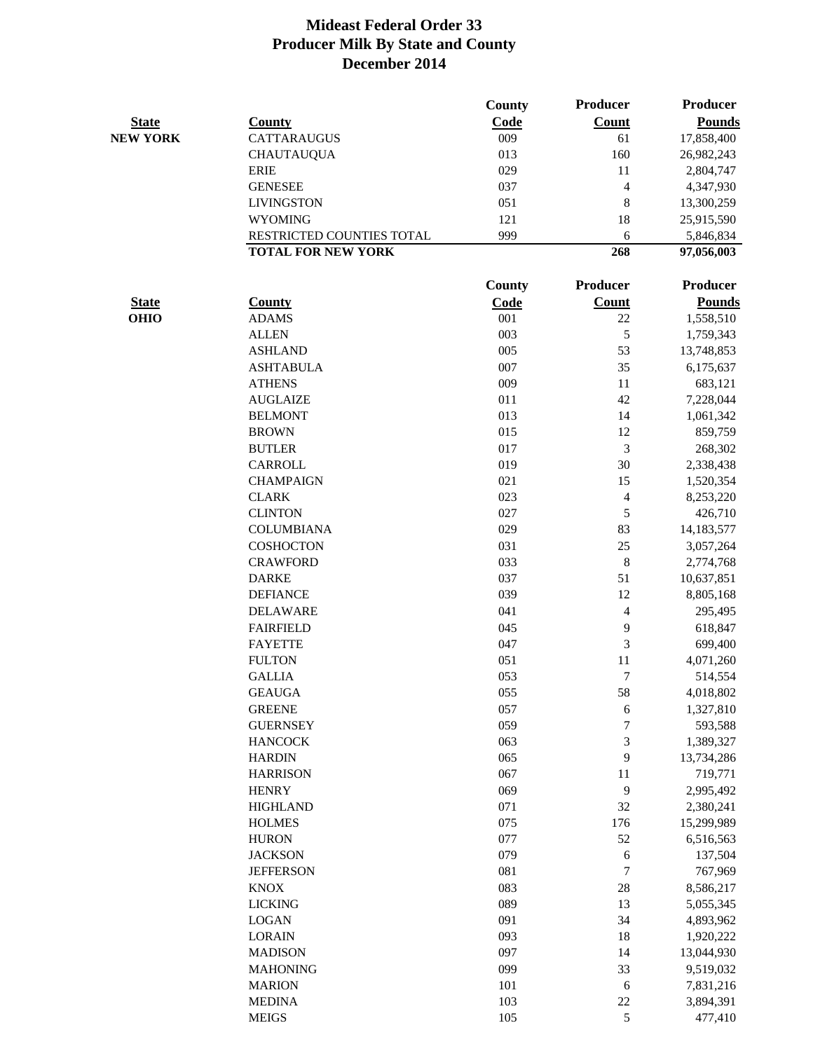|                 |                           | County      | Producer                 | <b>Producer</b> |
|-----------------|---------------------------|-------------|--------------------------|-----------------|
| <b>State</b>    | <b>County</b>             | Code        | <b>Count</b>             | <b>Pounds</b>   |
| <b>NEW YORK</b> | <b>CATTARAUGUS</b>        | 009         | 61                       | 17,858,400      |
|                 | <b>CHAUTAUQUA</b>         | 013         | 160                      | 26,982,243      |
|                 | <b>ERIE</b>               | 029         | 11                       | 2,804,747       |
|                 | <b>GENESEE</b>            | 037         | $\overline{4}$           | 4,347,930       |
|                 | <b>LIVINGSTON</b>         | 051         | 8                        | 13,300,259      |
|                 | <b>WYOMING</b>            | 121         | 18                       | 25,915,590      |
|                 | RESTRICTED COUNTIES TOTAL | 999         | 6                        | 5,846,834       |
|                 | <b>TOTAL FOR NEW YORK</b> |             | 268                      | 97,056,003      |
|                 |                           | County      | Producer                 | <b>Producer</b> |
| <b>State</b>    | <b>County</b>             | <b>Code</b> | <b>Count</b>             | <b>Pounds</b>   |
| <b>OHIO</b>     | <b>ADAMS</b>              | 001         | 22                       | 1,558,510       |
|                 | <b>ALLEN</b>              | 003         | 5                        | 1,759,343       |
|                 | <b>ASHLAND</b>            | 005         | 53                       | 13,748,853      |
|                 | <b>ASHTABULA</b>          | 007         | 35                       | 6,175,637       |
|                 | <b>ATHENS</b>             | 009         | 11                       | 683,121         |
|                 | <b>AUGLAIZE</b>           | 011         | 42                       | 7,228,044       |
|                 | <b>BELMONT</b>            | 013         | 14                       | 1,061,342       |
|                 | <b>BROWN</b>              | 015         | 12                       | 859,759         |
|                 | <b>BUTLER</b>             | 017         | 3                        | 268,302         |
|                 | <b>CARROLL</b>            | 019         | 30                       | 2,338,438       |
|                 | <b>CHAMPAIGN</b>          | 021         | 15                       | 1,520,354       |
|                 | <b>CLARK</b>              | 023         | $\overline{\mathcal{A}}$ | 8,253,220       |
|                 | <b>CLINTON</b>            | 027         | 5                        | 426,710         |
|                 | <b>COLUMBIANA</b>         | 029         | 83                       |                 |
|                 |                           |             |                          | 14,183,577      |
|                 | <b>COSHOCTON</b>          | 031         | 25                       | 3,057,264       |
|                 | <b>CRAWFORD</b>           | 033         | 8                        | 2,774,768       |
|                 | <b>DARKE</b>              | 037         | 51                       | 10,637,851      |
|                 | <b>DEFIANCE</b>           | 039         | 12                       | 8,805,168       |
|                 | <b>DELAWARE</b>           | 041         | 4                        | 295,495         |
|                 | <b>FAIRFIELD</b>          | 045         | 9                        | 618,847         |
|                 | <b>FAYETTE</b>            | 047         | 3                        | 699,400         |
|                 | <b>FULTON</b>             | 051         | 11                       | 4,071,260       |
|                 | <b>GALLIA</b>             | 053         | $\boldsymbol{7}$         | 514,554         |
|                 | <b>GEAUGA</b>             | 055         | 58                       | 4,018,802       |
|                 | <b>GREENE</b>             | 057         | 6                        | 1,327,810       |
|                 | <b>GUERNSEY</b>           | 059         | $\overline{7}$           | 593,588         |
|                 | <b>HANCOCK</b>            | 063         | $\mathfrak{Z}$           | 1,389,327       |
|                 | <b>HARDIN</b>             | 065         | 9                        | 13,734,286      |
|                 | <b>HARRISON</b>           | 067         | 11                       | 719,771         |
|                 | <b>HENRY</b>              | 069         | 9                        | 2,995,492       |
|                 | <b>HIGHLAND</b>           | 071         | 32                       | 2,380,241       |
|                 | <b>HOLMES</b>             | 075         | 176                      | 15,299,989      |
|                 | <b>HURON</b>              | 077         | 52                       | 6,516,563       |
|                 | <b>JACKSON</b>            | 079         | 6                        | 137,504         |
|                 | <b>JEFFERSON</b>          | 081         | $\boldsymbol{7}$         | 767,969         |
|                 | <b>KNOX</b>               | 083         | 28                       | 8,586,217       |
|                 | <b>LICKING</b>            | 089         | 13                       | 5,055,345       |
|                 | <b>LOGAN</b>              | 091         | 34                       | 4,893,962       |
|                 | <b>LORAIN</b>             | 093         | 18                       | 1,920,222       |
|                 | <b>MADISON</b>            | 097         | 14                       | 13,044,930      |
|                 | <b>MAHONING</b>           | 099         | 33                       | 9,519,032       |
|                 | <b>MARION</b>             | 101         | 6                        | 7,831,216       |
|                 | <b>MEDINA</b>             | 103         | 22                       | 3,894,391       |
|                 | <b>MEIGS</b>              | 105         | 5                        | 477,410         |
|                 |                           |             |                          |                 |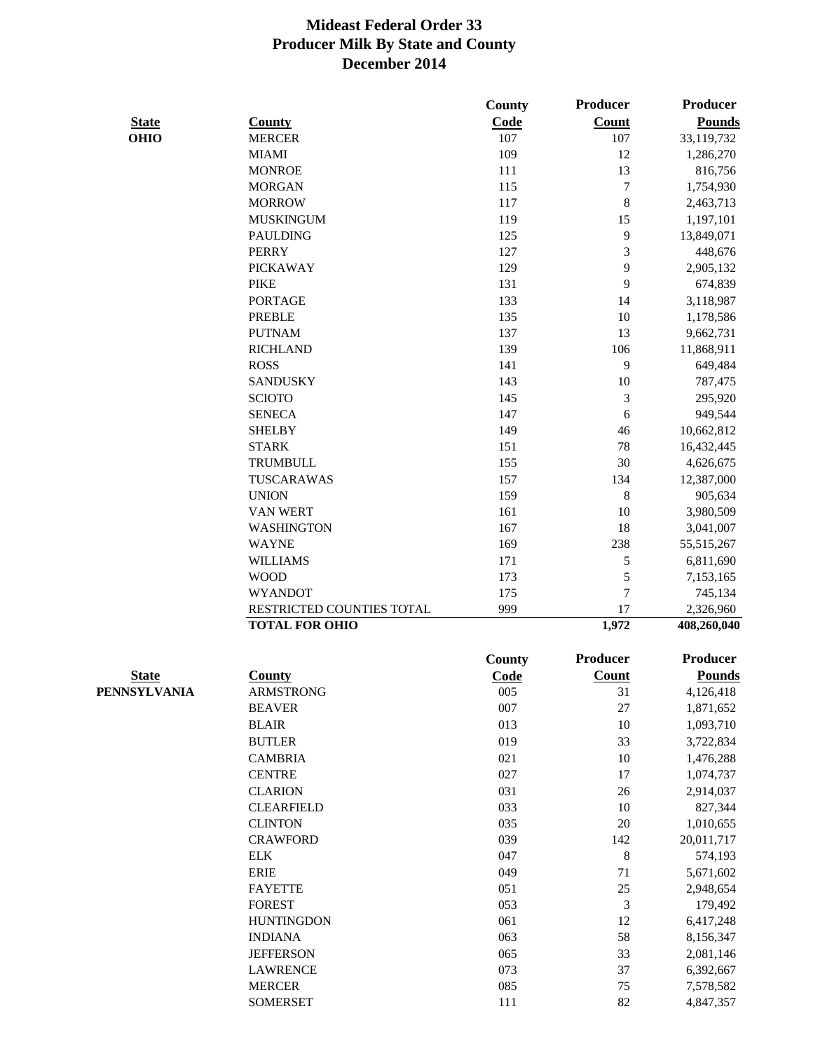|              |                           | County        | Producer         | <b>Producer</b> |
|--------------|---------------------------|---------------|------------------|-----------------|
| <b>State</b> | <b>County</b>             | Code          | <b>Count</b>     | <b>Pounds</b>   |
| <b>OHIO</b>  | <b>MERCER</b>             | 107           | 107              | 33,119,732      |
|              | <b>MIAMI</b>              | 109           | 12               | 1,286,270       |
|              | <b>MONROE</b>             | 111           | 13               | 816,756         |
|              | <b>MORGAN</b>             | 115           | $\boldsymbol{7}$ | 1,754,930       |
|              | <b>MORROW</b>             | 117           | 8                | 2,463,713       |
|              | <b>MUSKINGUM</b>          | 119           | 15               | 1,197,101       |
|              | <b>PAULDING</b>           | 125           | 9                | 13,849,071      |
|              | <b>PERRY</b>              | 127           | 3                | 448,676         |
|              | <b>PICKAWAY</b>           | 129           | 9                | 2,905,132       |
|              | <b>PIKE</b>               | 131           | 9                | 674,839         |
|              | <b>PORTAGE</b>            | 133           | 14               | 3,118,987       |
|              | <b>PREBLE</b>             | 135           | 10               | 1,178,586       |
|              | <b>PUTNAM</b>             | 137           | 13               | 9,662,731       |
|              | <b>RICHLAND</b>           | 139           | 106              | 11,868,911      |
|              | <b>ROSS</b>               | 141           | 9                | 649,484         |
|              | <b>SANDUSKY</b>           | 143           | 10               | 787,475         |
|              | <b>SCIOTO</b>             | 145           | 3                | 295,920         |
|              | <b>SENECA</b>             | 147           | 6                | 949,544         |
|              | <b>SHELBY</b>             | 149           | 46               | 10,662,812      |
|              | <b>STARK</b>              | 151           | 78               | 16,432,445      |
|              | <b>TRUMBULL</b>           | 155           | 30               | 4,626,675       |
|              | TUSCARAWAS                | 157           | 134              | 12,387,000      |
|              | <b>UNION</b>              | 159           | 8                | 905,634         |
|              | <b>VAN WERT</b>           | 161           | 10               | 3,980,509       |
|              | <b>WASHINGTON</b>         | 167           | 18               | 3,041,007       |
|              | <b>WAYNE</b>              | 169           | 238              | 55,515,267      |
|              | <b>WILLIAMS</b>           | 171           | 5                | 6,811,690       |
|              | <b>WOOD</b>               | 173           | 5                | 7,153,165       |
|              | <b>WYANDOT</b>            | 175           | $\overline{7}$   | 745,134         |
|              | RESTRICTED COUNTIES TOTAL | 999           | 17               | 2,326,960       |
|              | <b>TOTAL FOR OHIO</b>     |               | 1,972            | 408,260,040     |
|              |                           | <b>County</b> | Producer         | <b>Producer</b> |
| <b>State</b> | <b>County</b>             | Code          | <b>Count</b>     | <b>Pounds</b>   |
| PENNSYLVANIA | <b>ARMSTRONG</b>          | 005           | 31               | 4,126,418       |
|              | <b>BEAVER</b>             | 007           | 27               | 1,871,652       |
|              | <b>BLAIR</b>              | 013           | 10               |                 |
|              |                           |               |                  | 1,093,710       |
|              | <b>BUTLER</b>             | 019           | 33               | 3,722,834       |
|              | <b>CAMBRIA</b>            | 021           | 10               | 1,476,288       |
|              | <b>CENTRE</b>             | 027           | 17               | 1,074,737       |
|              | <b>CLARION</b>            | 031           | 26               | 2,914,037       |
|              | <b>CLEARFIELD</b>         | 033           | 10               | 827,344         |
|              | <b>CLINTON</b>            | 035           | 20               | 1,010,655       |
|              | <b>CRAWFORD</b>           | 039           | 142              | 20,011,717      |
|              | <b>ELK</b>                | 047           | 8                | 574,193         |
|              | <b>ERIE</b>               | 049           | 71               | 5,671,602       |
|              | <b>FAYETTE</b>            | 051           | 25               | 2,948,654       |
|              | <b>FOREST</b>             | 053           | 3                | 179,492         |
|              | <b>HUNTINGDON</b>         | 061           | 12               | 6,417,248       |
|              | <b>INDIANA</b>            | 063           | 58               | 8,156,347       |
|              | <b>JEFFERSON</b>          | 065           | 33               | 2,081,146       |
|              | <b>LAWRENCE</b>           | 073           | 37               | 6,392,667       |
|              | <b>MERCER</b>             | 085           | 75               | 7,578,582       |
|              | <b>SOMERSET</b>           | 111           | 82               | 4,847,357       |